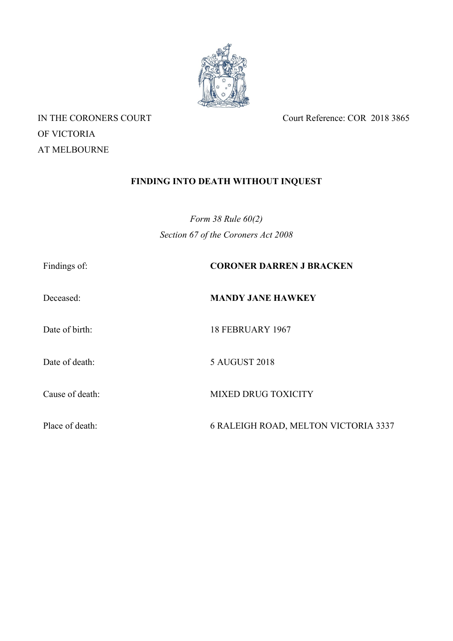

OF VICTORIA AT MELBOURNE

IN THE CORONERS COURT Court Reference: COR 2018 3865

# **FINDING INTO DEATH WITHOUT INQUEST**

*Form 38 Rule 60(2) Section 67 of the Coroners Act 2008*

| Findings of:    | <b>CORONER DARREN J BRACKEN</b>      |
|-----------------|--------------------------------------|
| Deceased:       | <b>MANDY JANE HAWKEY</b>             |
| Date of birth:  | <b>18 FEBRUARY 1967</b>              |
| Date of death:  | 5 AUGUST 2018                        |
| Cause of death: | <b>MIXED DRUG TOXICITY</b>           |
| Place of death: | 6 RALEIGH ROAD, MELTON VICTORIA 3337 |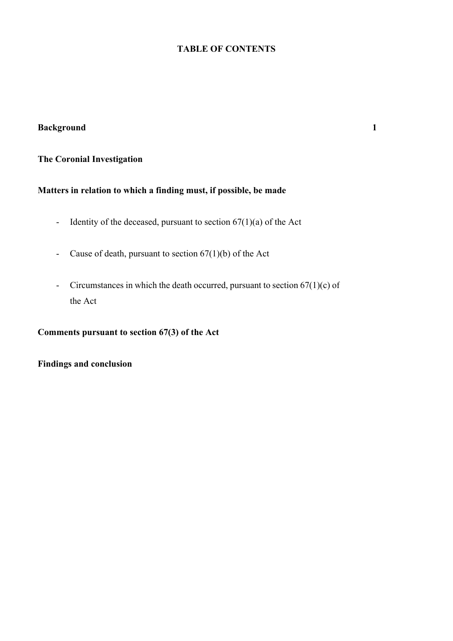## **TABLE OF CONTENTS**

## **Background 1**

## **The Coronial Investigation**

## **Matters in relation to which a finding must, if possible, be made**

- Identity of the deceased, pursuant to section  $67(1)(a)$  of the Act
- Cause of death, pursuant to section  $67(1)(b)$  of the Act
- Circumstances in which the death occurred, pursuant to section  $67(1)(c)$  of the Act

**Comments pursuant to section 67(3) of the Act**

**Findings and conclusion**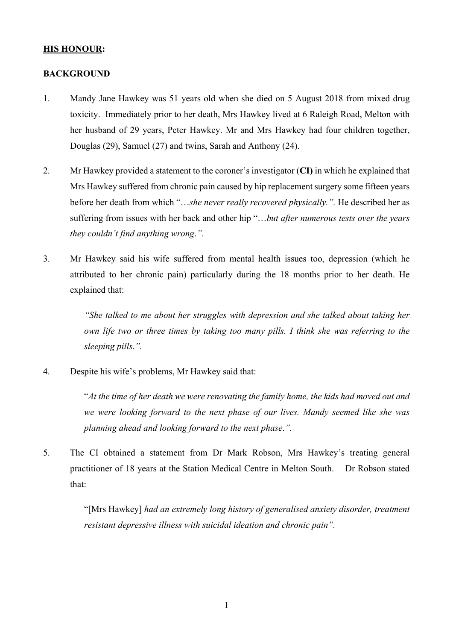## **HIS HONOUR:**

### **BACKGROUND**

- 1. Mandy Jane Hawkey was 51 years old when she died on 5 August 2018 from mixed drug toxicity. Immediately prior to her death, Mrs Hawkey lived at 6 Raleigh Road, Melton with her husband of 29 years, Peter Hawkey. Mr and Mrs Hawkey had four children together, Douglas (29), Samuel (27) and twins, Sarah and Anthony (24).
- 2. Mr Hawkey provided a statement to the coroner's investigator (**CI)** in which he explained that Mrs Hawkey suffered from chronic pain caused by hip replacement surgery some fifteen years before her death from which "…*she never really recovered physically.".* He described her as suffering from issues with her back and other hip "…*but after numerous tests over the years they couldn't find anything wrong*.*".*
- 3. Mr Hawkey said his wife suffered from mental health issues too, depression (which he attributed to her chronic pain) particularly during the 18 months prior to her death. He explained that:

*"She talked to me about her struggles with depression and she talked about taking her own life two or three times by taking too many pills. I think she was referring to the sleeping pills*.*".*

4. Despite his wife's problems, Mr Hawkey said that:

"*At the time of her death we were renovating the family home, the kids had moved out and we were looking forward to the next phase of our lives. Mandy seemed like she was planning ahead and looking forward to the next phase*.*".* 

5. The CI obtained a statement from Dr Mark Robson, Mrs Hawkey's treating general practitioner of 18 years at the Station Medical Centre in Melton South. Dr Robson stated that:

> "[Mrs Hawkey] *had an extremely long history of generalised anxiety disorder, treatment resistant depressive illness with suicidal ideation and chronic pain".*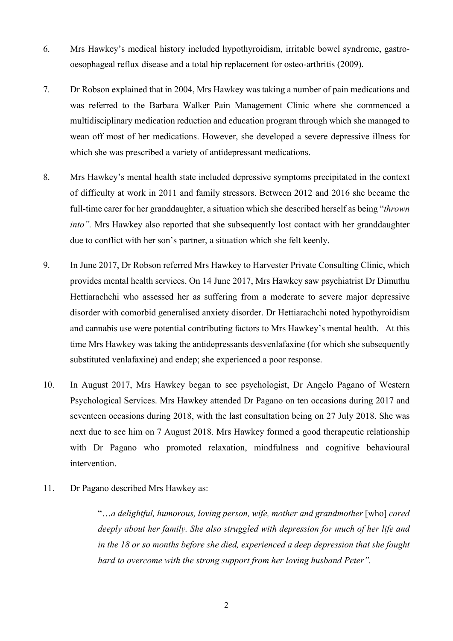- 6. Mrs Hawkey's medical history included hypothyroidism, irritable bowel syndrome, gastrooesophageal reflux disease and a total hip replacement for osteo-arthritis (2009).
- 7. Dr Robson explained that in 2004, Mrs Hawkey was taking a number of pain medications and was referred to the Barbara Walker Pain Management Clinic where she commenced a multidisciplinary medication reduction and education program through which she managed to wean off most of her medications. However, she developed a severe depressive illness for which she was prescribed a variety of antidepressant medications.
- 8. Mrs Hawkey's mental health state included depressive symptoms precipitated in the context of difficulty at work in 2011 and family stressors. Between 2012 and 2016 she became the full-time carer for her granddaughter, a situation which she described herself as being "*thrown into".* Mrs Hawkey also reported that she subsequently lost contact with her granddaughter due to conflict with her son's partner, a situation which she felt keenly.
- 9. In June 2017, Dr Robson referred Mrs Hawkey to Harvester Private Consulting Clinic, which provides mental health services. On 14 June 2017, Mrs Hawkey saw psychiatrist Dr Dimuthu Hettiarachchi who assessed her as suffering from a moderate to severe major depressive disorder with comorbid generalised anxiety disorder. Dr Hettiarachchi noted hypothyroidism and cannabis use were potential contributing factors to Mrs Hawkey's mental health. At this time Mrs Hawkey was taking the antidepressants desvenlafaxine (for which she subsequently substituted venlafaxine) and endep; she experienced a poor response.
- 10. In August 2017, Mrs Hawkey began to see psychologist, Dr Angelo Pagano of Western Psychological Services. Mrs Hawkey attended Dr Pagano on ten occasions during 2017 and seventeen occasions during 2018, with the last consultation being on 27 July 2018. She was next due to see him on 7 August 2018. Mrs Hawkey formed a good therapeutic relationship with Dr Pagano who promoted relaxation, mindfulness and cognitive behavioural intervention.
- 11. Dr Pagano described Mrs Hawkey as:

"…*a delightful, humorous, loving person, wife, mother and grandmother* [who] *cared deeply about her family. She also struggled with depression for much of her life and in the 18 or so months before she died, experienced a deep depression that she fought hard to overcome with the strong support from her loving husband Peter".*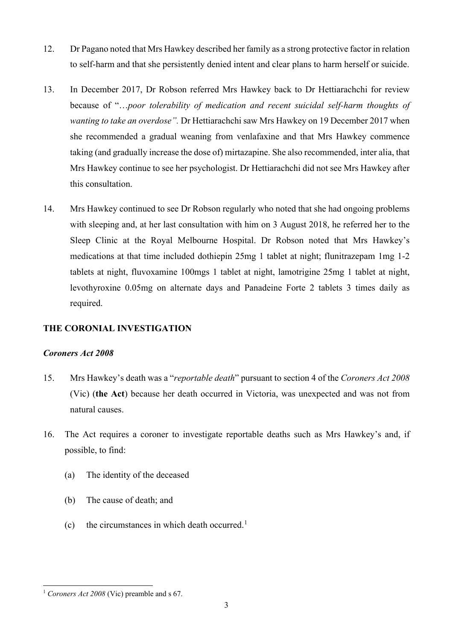- 12. Dr Pagano noted that Mrs Hawkey described her family as a strong protective factor in relation to self-harm and that she persistently denied intent and clear plans to harm herself or suicide.
- 13. In December 2017, Dr Robson referred Mrs Hawkey back to Dr Hettiarachchi for review because of "…*poor tolerability of medication and recent suicidal self-harm thoughts of wanting to take an overdose".* Dr Hettiarachchi saw Mrs Hawkey on 19 December 2017 when she recommended a gradual weaning from venlafaxine and that Mrs Hawkey commence taking (and gradually increase the dose of) mirtazapine. She also recommended, inter alia, that Mrs Hawkey continue to see her psychologist. Dr Hettiarachchi did not see Mrs Hawkey after this consultation.
- 14. Mrs Hawkey continued to see Dr Robson regularly who noted that she had ongoing problems with sleeping and, at her last consultation with him on 3 August 2018, he referred her to the Sleep Clinic at the Royal Melbourne Hospital. Dr Robson noted that Mrs Hawkey's medications at that time included dothiepin 25mg 1 tablet at night; flunitrazepam 1mg 1-2 tablets at night, fluvoxamine 100mgs 1 tablet at night, lamotrigine 25mg 1 tablet at night, levothyroxine 0.05mg on alternate days and Panadeine Forte 2 tablets 3 times daily as required.

## **THE CORONIAL INVESTIGATION**

#### *Coroners Act 2008*

- 15. Mrs Hawkey's death was a "*reportable death*" pursuant to section 4 of the *Coroners Act 2008* (Vic) (**the Act**) because her death occurred in Victoria, was unexpected and was not from natural causes.
- 16. The Act requires a coroner to investigate reportable deaths such as Mrs Hawkey's and, if possible, to find:
	- (a) The identity of the deceased
	- (b) The cause of death; and
	- (c) the circumstances in which death occurred.<sup>[1](#page-4-0)</sup>

<span id="page-4-0"></span><sup>1</sup> *Coroners Act 2008* (Vic) preamble and s 67.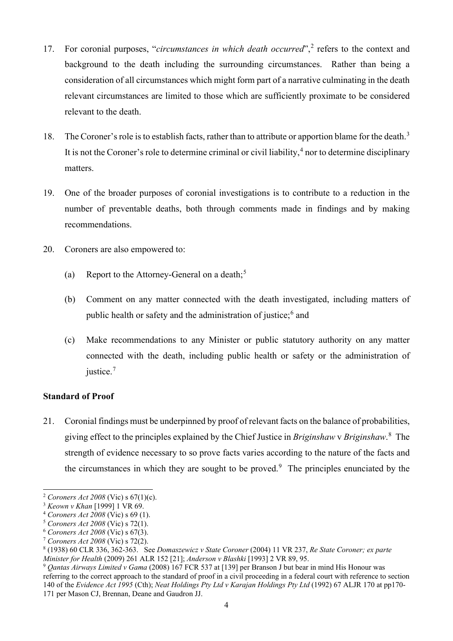- 17. For coronial purposes, "*circumstances in which death occurred*",[2](#page-5-0) refers to the context and background to the death including the surrounding circumstances. Rather than being a consideration of all circumstances which might form part of a narrative culminating in the death relevant circumstances are limited to those which are sufficiently proximate to be considered relevant to the death.
- 18. The Coroner's role is to establish facts, rather than to attribute or apportion blame for the death.<sup>[3](#page-5-1)</sup> It is not the Coroner's role to determine criminal or civil liability,  $4$  nor to determine disciplinary matters.
- 19. One of the broader purposes of coronial investigations is to contribute to a reduction in the number of preventable deaths, both through comments made in findings and by making recommendations.
- 20. Coroners are also empowered to:
	- (a) Report to the Attorney-General on a death;<sup>[5](#page-5-3)</sup>
	- (b) Comment on any matter connected with the death investigated, including matters of public health or safety and the administration of justice;[6](#page-5-4) and
	- (c) Make recommendations to any Minister or public statutory authority on any matter connected with the death, including public health or safety or the administration of justice.<sup>[7](#page-5-5)</sup>

## **Standard of Proof**

21. Coronial findings must be underpinned by proof of relevant facts on the balance of probabilities, giving effect to the principles explained by the Chief Justice in *Briginshaw* v *Briginshaw*. [8](#page-5-6) The strength of evidence necessary to so prove facts varies according to the nature of the facts and the circumstances in which they are sought to be proved.<sup>[9](#page-5-7)</sup> The principles enunciated by the

<span id="page-5-0"></span><sup>2</sup> *Coroners Act 2008* (Vic) s 67(1)(c).

<span id="page-5-1"></span><sup>3</sup> *Keown v Khan* [1999] 1 VR 69.

<span id="page-5-2"></span><sup>4</sup> *Coroners Act 2008* (Vic) s 69 (1).

<span id="page-5-3"></span><sup>5</sup> *Coroners Act 2008* (Vic) s 72(1).

<span id="page-5-4"></span><sup>6</sup> *Coroners Act 2008* (Vic) s 67(3).

<span id="page-5-5"></span><sup>7</sup> *Coroners Act 2008* (Vic) s 72(2).

<span id="page-5-6"></span><sup>8</sup> (1938) 60 CLR 336, 362-363. See *Domaszewicz v State Coroner* (2004) 11 VR 237, *Re State Coroner; ex parte* 

<span id="page-5-7"></span><sup>&</sup>lt;sup>9</sup> Oantas Airways Limited v Gama (2008) 167 FCR 537 at [139] per Branson J but bear in mind His Honour was referring to the correct approach to the standard of proof in a civil proceeding in a federal court with reference to section 140 of the *Evidence Act 1995* (Cth); *Neat Holdings Pty Ltd v Karajan Holdings Pty Ltd* (1992) 67 ALJR 170 at pp170- 171 per Mason CJ, Brennan, Deane and Gaudron JJ.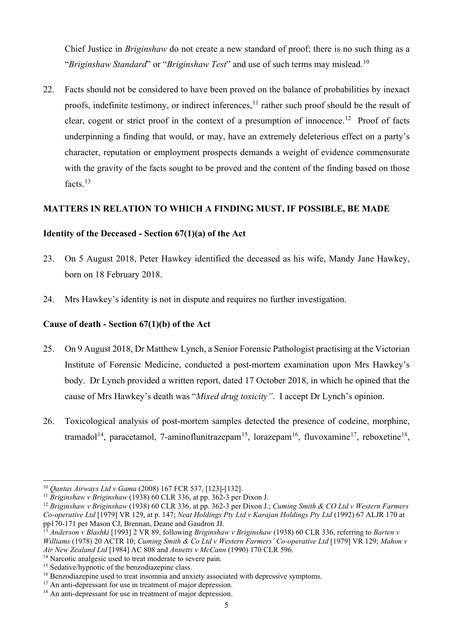Chief Justice in *Briginshaw* do not create a new standard of proof; there is no such thing as a "*Briginshaw Standard*" or "*Briginshaw Test*" and use of such terms may mislead.[10](#page-6-0)

22. Facts should not be considered to have been proved on the balance of probabilities by inexact proofs, indefinite testimony, or indirect inferences, <sup>[11](#page-6-1)</sup> rather such proof should be the result of clear, cogent or strict proof in the context of a presumption of innocence.<sup>12</sup> Proof of facts underpinning a finding that would, or may, have an extremely deleterious effect on a party's character, reputation or employment prospects demands a weight of evidence commensurate with the gravity of the facts sought to be proved and the content of the finding based on those facts.<sup>[13](#page-6-3)</sup>

## **MATTERS IN RELATION TO WHICH A FINDING MUST, IF POSSIBLE, BE MADE**

## **Identity of the Deceased - Section 67(1)(a) of the Act**

- 23. On 5 August 2018, Peter Hawkey identified the deceased as his wife, Mandy Jane Hawkey, born on 18 February 2018.
- 24. Mrs Hawkey's identity is not in dispute and requires no further investigation.

#### **Cause of death - Section 67(1)(b) of the Act**

- 25. On 9 August 2018, Dr Matthew Lynch, a Senior Forensic Pathologist practising at the Victorian Institute of Forensic Medicine, conducted a post-mortem examination upon Mrs Hawkey's body. Dr Lynch provided a written report, dated 17 October 2018, in which he opined that the cause of Mrs Hawkey's death was "*Mixed drug toxicity"*. I accept Dr Lynch's opinion.
- 26. Toxicological analysis of post-mortem samples detected the presence of codeine, morphine, tramadol<sup>[14](#page-6-4)</sup>, paracetamol, 7-aminoflunitrazepam<sup>15</sup>, lorazepam<sup>16</sup>, fluvoxamine<sup>17</sup>, reboxetine<sup>18</sup>,

<span id="page-6-0"></span><sup>10</sup> *Qantas Airways Ltd v Gama* (2008) 167 FCR 537, [123]-[132].

<span id="page-6-1"></span><sup>11</sup> *Briginshaw v Briginshaw* (1938) 60 CLR 336, at pp. 362-3 per Dixon J.

<span id="page-6-2"></span><sup>12</sup> *Briginshaw v Briginshaw* (1938) 60 CLR 336, at pp. 362-3 per Dixon J.; *Cuming Smith & CO Ltd v Western Farmers Co-operative Ltd* [1979] VR 129, at p. 147; *Neat Holdings Pty Ltd v Karajan Holdings Pty Ltd* (1992) 67 ALJR 170 at pp170-171 per Mason CJ, Brennan, Deane and Gaudron JJ.

<span id="page-6-3"></span><sup>13</sup> *Anderson v Blashki* [1993] 2 VR 89, following *Briginshaw v Briginshaw* (1938) 60 CLR 336, referring to *Barten v Williams* (1978) 20 ACTR 10; *Cuming Smith & Co Ltd v Western Farmers' Co-operative Ltd* [1979] VR 129; *Mahon v Air New Zealand Ltd* [1984] AC 808 and *Annetts v McCann* (1990) 170 CLR 596.

<span id="page-6-4"></span><sup>&</sup>lt;sup>14</sup> Narcotic analgesic used to treat moderate to severe pain.

<span id="page-6-5"></span><sup>&</sup>lt;sup>15</sup> Sedative/hypnotic of the benzodiazepine class.

<span id="page-6-6"></span><sup>&</sup>lt;sup>16</sup> Benzodiazepine used to treat insomnia and anxiety associated with depressive symptoms.

<span id="page-6-7"></span><sup>&</sup>lt;sup>17</sup> An anti-depressant for use in treatment of major depression.

<span id="page-6-8"></span><sup>&</sup>lt;sup>18</sup> An anti-depressant for use in treatment of major depression.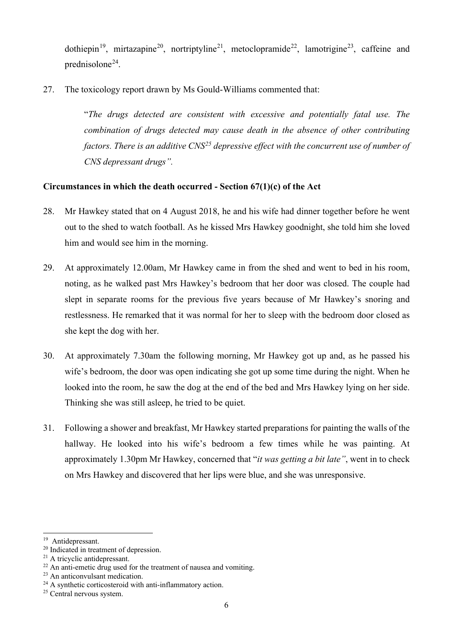dothiepin<sup>19</sup>, mirtazapine<sup>20</sup>, nortriptyline<sup>21</sup>, metoclopramide<sup>22</sup>, lamotrigine<sup>23</sup>, caffeine and prednisolone[24.](#page-7-5)

27. The toxicology report drawn by Ms Gould-Williams commented that:

"*The drugs detected are consistent with excessive and potentially fatal use. The combination of drugs detected may cause death in the absence of other contributing factors. There is an additive CNS[25](#page-7-6) depressive effect with the concurrent use of number of CNS depressant drugs".*

## **Circumstances in which the death occurred - Section 67(1)(c) of the Act**

- 28. Mr Hawkey stated that on 4 August 2018, he and his wife had dinner together before he went out to the shed to watch football. As he kissed Mrs Hawkey goodnight, she told him she loved him and would see him in the morning.
- 29. At approximately 12.00am, Mr Hawkey came in from the shed and went to bed in his room, noting, as he walked past Mrs Hawkey's bedroom that her door was closed. The couple had slept in separate rooms for the previous five years because of Mr Hawkey's snoring and restlessness. He remarked that it was normal for her to sleep with the bedroom door closed as she kept the dog with her.
- 30. At approximately 7.30am the following morning, Mr Hawkey got up and, as he passed his wife's bedroom, the door was open indicating she got up some time during the night. When he looked into the room, he saw the dog at the end of the bed and Mrs Hawkey lying on her side. Thinking she was still asleep, he tried to be quiet.
- 31. Following a shower and breakfast, Mr Hawkey started preparations for painting the walls of the hallway. He looked into his wife's bedroom a few times while he was painting. At approximately 1.30pm Mr Hawkey, concerned that "*it was getting a bit late"*, went in to check on Mrs Hawkey and discovered that her lips were blue, and she was unresponsive.

<span id="page-7-0"></span><sup>&</sup>lt;sup>19</sup> Antidepressant.

<span id="page-7-1"></span><sup>20</sup> Indicated in treatment of depression.

<span id="page-7-2"></span><sup>21</sup> A tricyclic antidepressant.

<span id="page-7-3"></span> $22$  An anti-emetic drug used for the treatment of nausea and vomiting.

<span id="page-7-4"></span><sup>&</sup>lt;sup>23</sup> An anticonvulsant medication.

<span id="page-7-5"></span><sup>&</sup>lt;sup>24</sup> A synthetic corticosteroid with anti-inflammatory action.

<span id="page-7-6"></span><sup>25</sup> Central nervous system.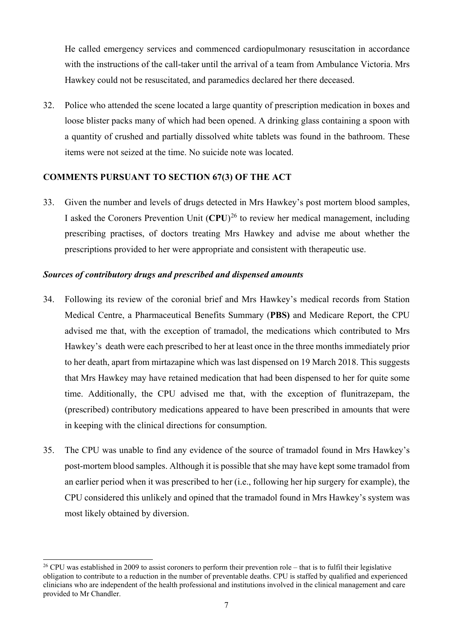He called emergency services and commenced cardiopulmonary resuscitation in accordance with the instructions of the call-taker until the arrival of a team from Ambulance Victoria. Mrs Hawkey could not be resuscitated, and paramedics declared her there deceased.

32. Police who attended the scene located a large quantity of prescription medication in boxes and loose blister packs many of which had been opened. A drinking glass containing a spoon with a quantity of crushed and partially dissolved white tablets was found in the bathroom. These items were not seized at the time. No suicide note was located.

## **COMMENTS PURSUANT TO SECTION 67(3) OF THE ACT**

33. Given the number and levels of drugs detected in Mrs Hawkey's post mortem blood samples, I asked the Coroners Prevention Unit (**CPU**) [26](#page-8-0) to review her medical management, including prescribing practises, of doctors treating Mrs Hawkey and advise me about whether the prescriptions provided to her were appropriate and consistent with therapeutic use.

#### *Sources of contributory drugs and prescribed and dispensed amounts*

- 34. Following its review of the coronial brief and Mrs Hawkey's medical records from Station Medical Centre, a Pharmaceutical Benefits Summary (**PBS)** and Medicare Report, the CPU advised me that, with the exception of tramadol, the medications which contributed to Mrs Hawkey's death were each prescribed to her at least once in the three months immediately prior to her death, apart from mirtazapine which was last dispensed on 19 March 2018. This suggests that Mrs Hawkey may have retained medication that had been dispensed to her for quite some time. Additionally, the CPU advised me that, with the exception of flunitrazepam, the (prescribed) contributory medications appeared to have been prescribed in amounts that were in keeping with the clinical directions for consumption.
- 35. The CPU was unable to find any evidence of the source of tramadol found in Mrs Hawkey's post-mortem blood samples. Although it is possible that she may have kept some tramadol from an earlier period when it was prescribed to her (i.e., following her hip surgery for example), the CPU considered this unlikely and opined that the tramadol found in Mrs Hawkey's system was most likely obtained by diversion.

<span id="page-8-0"></span> $26$  CPU was established in 2009 to assist coroners to perform their prevention role – that is to fulfil their legislative obligation to contribute to a reduction in the number of preventable deaths. CPU is staffed by qualified and experienced clinicians who are independent of the health professional and institutions involved in the clinical management and care provided to Mr Chandler.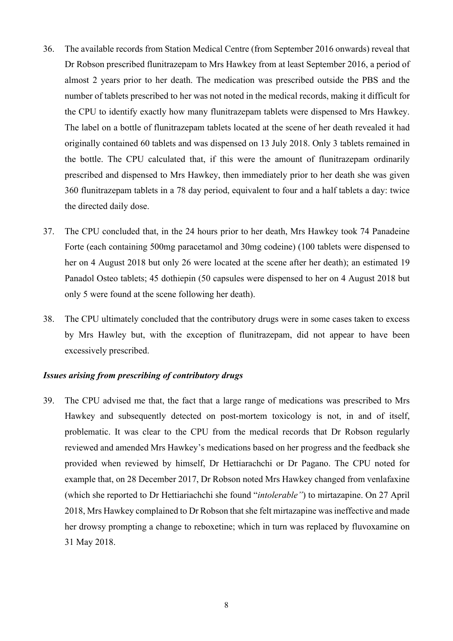- 36. The available records from Station Medical Centre (from September 2016 onwards) reveal that Dr Robson prescribed flunitrazepam to Mrs Hawkey from at least September 2016, a period of almost 2 years prior to her death. The medication was prescribed outside the PBS and the number of tablets prescribed to her was not noted in the medical records, making it difficult for the CPU to identify exactly how many flunitrazepam tablets were dispensed to Mrs Hawkey. The label on a bottle of flunitrazepam tablets located at the scene of her death revealed it had originally contained 60 tablets and was dispensed on 13 July 2018. Only 3 tablets remained in the bottle. The CPU calculated that, if this were the amount of flunitrazepam ordinarily prescribed and dispensed to Mrs Hawkey, then immediately prior to her death she was given 360 flunitrazepam tablets in a 78 day period, equivalent to four and a half tablets a day: twice the directed daily dose.
- 37. The CPU concluded that, in the 24 hours prior to her death, Mrs Hawkey took 74 Panadeine Forte (each containing 500mg paracetamol and 30mg codeine) (100 tablets were dispensed to her on 4 August 2018 but only 26 were located at the scene after her death); an estimated 19 Panadol Osteo tablets; 45 dothiepin (50 capsules were dispensed to her on 4 August 2018 but only 5 were found at the scene following her death).
- 38. The CPU ultimately concluded that the contributory drugs were in some cases taken to excess by Mrs Hawley but, with the exception of flunitrazepam, did not appear to have been excessively prescribed.

### *Issues arising from prescribing of contributory drugs*

39. The CPU advised me that, the fact that a large range of medications was prescribed to Mrs Hawkey and subsequently detected on post-mortem toxicology is not, in and of itself, problematic. It was clear to the CPU from the medical records that Dr Robson regularly reviewed and amended Mrs Hawkey's medications based on her progress and the feedback she provided when reviewed by himself, Dr Hettiarachchi or Dr Pagano. The CPU noted for example that, on 28 December 2017, Dr Robson noted Mrs Hawkey changed from venlafaxine (which she reported to Dr Hettiariachchi she found "*intolerable"*) to mirtazapine. On 27 April 2018, Mrs Hawkey complained to Dr Robson that she felt mirtazapine was ineffective and made her drowsy prompting a change to reboxetine; which in turn was replaced by fluvoxamine on 31 May 2018.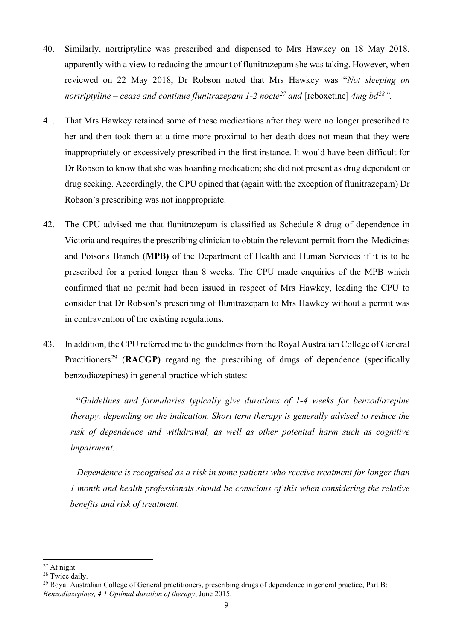- 40. Similarly, nortriptyline was prescribed and dispensed to Mrs Hawkey on 18 May 2018, apparently with a view to reducing the amount of flunitrazepam she was taking. However, when reviewed on 22 May 2018, Dr Robson noted that Mrs Hawkey was "*Not sleeping on nortriptyline – cease and continue flunitrazepam 1-2 nocte[27](#page-10-0) and* [reboxetine] *4mg bd[28"](#page-10-1).*
- 41. That Mrs Hawkey retained some of these medications after they were no longer prescribed to her and then took them at a time more proximal to her death does not mean that they were inappropriately or excessively prescribed in the first instance. It would have been difficult for Dr Robson to know that she was hoarding medication; she did not present as drug dependent or drug seeking. Accordingly, the CPU opined that (again with the exception of flunitrazepam) Dr Robson's prescribing was not inappropriate.
- 42. The CPU advised me that flunitrazepam is classified as Schedule 8 drug of dependence in Victoria and requires the prescribing clinician to obtain the relevant permit from the Medicines and Poisons Branch (**MPB)** of the Department of Health and Human Services if it is to be prescribed for a period longer than 8 weeks. The CPU made enquiries of the MPB which confirmed that no permit had been issued in respect of Mrs Hawkey, leading the CPU to consider that Dr Robson's prescribing of flunitrazepam to Mrs Hawkey without a permit was in contravention of the existing regulations.
- 43. In addition, the CPU referred me to the guidelines from the Royal Australian College of General Practitioners<sup>[29](#page-10-2)</sup> (RACGP) regarding the prescribing of drugs of dependence (specifically benzodiazepines) in general practice which states:

"*Guidelines and formularies typically give durations of 1-4 weeks for benzodiazepine therapy, depending on the indication. Short term therapy is generally advised to reduce the risk of dependence and withdrawal, as well as other potential harm such as cognitive impairment.*

 *Dependence is recognised as a risk in some patients who receive treatment for longer than 1 month and health professionals should be conscious of this when considering the relative benefits and risk of treatment.*

<span id="page-10-0"></span><sup>27</sup> At night.

<span id="page-10-1"></span><sup>&</sup>lt;sup>28</sup> Twice daily.

<span id="page-10-2"></span><sup>&</sup>lt;sup>29</sup> Royal Australian College of General practitioners, prescribing drugs of dependence in general practice, Part B: *Benzodiazepines, 4.1 Optimal duration of therapy*, June 2015.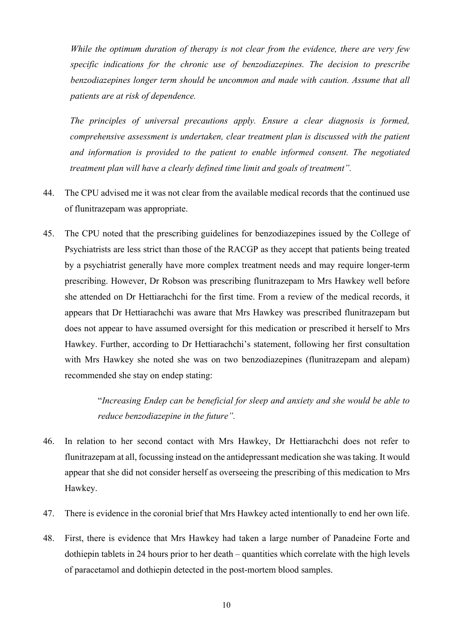*While the optimum duration of therapy is not clear from the evidence, there are very few specific indications for the chronic use of benzodiazepines. The decision to prescribe benzodiazepines longer term should be uncommon and made with caution. Assume that all patients are at risk of dependence.*

*The principles of universal precautions apply. Ensure a clear diagnosis is formed, comprehensive assessment is undertaken, clear treatment plan is discussed with the patient and information is provided to the patient to enable informed consent. The negotiated treatment plan will have a clearly defined time limit and goals of treatment".*

- 44. The CPU advised me it was not clear from the available medical records that the continued use of flunitrazepam was appropriate.
- 45. The CPU noted that the prescribing guidelines for benzodiazepines issued by the College of Psychiatrists are less strict than those of the RACGP as they accept that patients being treated by a psychiatrist generally have more complex treatment needs and may require longer-term prescribing. However, Dr Robson was prescribing flunitrazepam to Mrs Hawkey well before she attended on Dr Hettiarachchi for the first time. From a review of the medical records, it appears that Dr Hettiarachchi was aware that Mrs Hawkey was prescribed flunitrazepam but does not appear to have assumed oversight for this medication or prescribed it herself to Mrs Hawkey. Further, according to Dr Hettiarachchi's statement, following her first consultation with Mrs Hawkey she noted she was on two benzodiazepines (flunitrazepam and alepam) recommended she stay on endep stating:

"*Increasing Endep can be beneficial for sleep and anxiety and she would be able to reduce benzodiazepine in the future".*

- 46. In relation to her second contact with Mrs Hawkey, Dr Hettiarachchi does not refer to flunitrazepam at all, focussing instead on the antidepressant medication she was taking. It would appear that she did not consider herself as overseeing the prescribing of this medication to Mrs Hawkey.
- 47. There is evidence in the coronial brief that Mrs Hawkey acted intentionally to end her own life.
- 48. First, there is evidence that Mrs Hawkey had taken a large number of Panadeine Forte and dothiepin tablets in 24 hours prior to her death – quantities which correlate with the high levels of paracetamol and dothiepin detected in the post-mortem blood samples.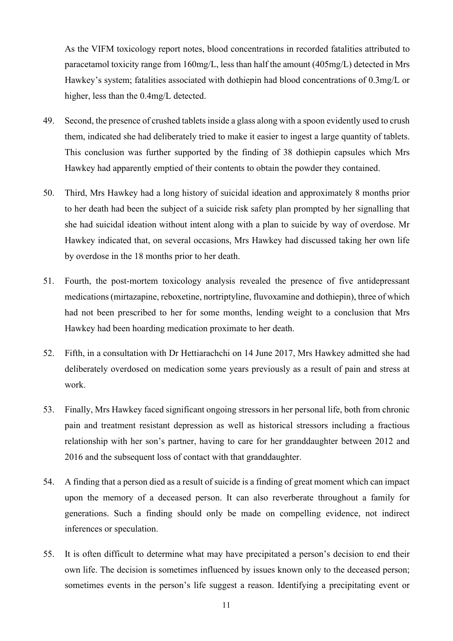As the VIFM toxicology report notes, blood concentrations in recorded fatalities attributed to paracetamol toxicity range from 160mg/L, less than half the amount (405mg/L) detected in Mrs Hawkey's system; fatalities associated with dothiepin had blood concentrations of 0.3mg/L or higher, less than the 0.4mg/L detected.

- 49. Second, the presence of crushed tablets inside a glass along with a spoon evidently used to crush them, indicated she had deliberately tried to make it easier to ingest a large quantity of tablets. This conclusion was further supported by the finding of 38 dothiepin capsules which Mrs Hawkey had apparently emptied of their contents to obtain the powder they contained.
- 50. Third, Mrs Hawkey had a long history of suicidal ideation and approximately 8 months prior to her death had been the subject of a suicide risk safety plan prompted by her signalling that she had suicidal ideation without intent along with a plan to suicide by way of overdose. Mr Hawkey indicated that, on several occasions, Mrs Hawkey had discussed taking her own life by overdose in the 18 months prior to her death.
- 51. Fourth, the post-mortem toxicology analysis revealed the presence of five antidepressant medications (mirtazapine, reboxetine, nortriptyline, fluvoxamine and dothiepin), three of which had not been prescribed to her for some months, lending weight to a conclusion that Mrs Hawkey had been hoarding medication proximate to her death.
- 52. Fifth, in a consultation with Dr Hettiarachchi on 14 June 2017, Mrs Hawkey admitted she had deliberately overdosed on medication some years previously as a result of pain and stress at work.
- 53. Finally, Mrs Hawkey faced significant ongoing stressors in her personal life, both from chronic pain and treatment resistant depression as well as historical stressors including a fractious relationship with her son's partner, having to care for her granddaughter between 2012 and 2016 and the subsequent loss of contact with that granddaughter.
- 54. A finding that a person died as a result of suicide is a finding of great moment which can impact upon the memory of a deceased person. It can also reverberate throughout a family for generations. Such a finding should only be made on compelling evidence, not indirect inferences or speculation.
- 55. It is often difficult to determine what may have precipitated a person's decision to end their own life. The decision is sometimes influenced by issues known only to the deceased person; sometimes events in the person's life suggest a reason. Identifying a precipitating event or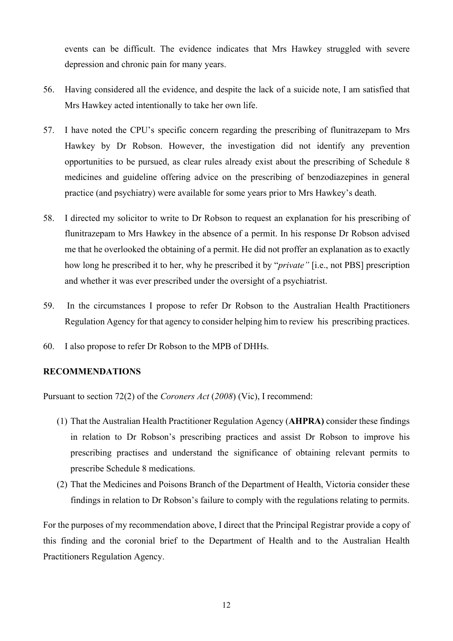events can be difficult. The evidence indicates that Mrs Hawkey struggled with severe depression and chronic pain for many years.

- 56. Having considered all the evidence, and despite the lack of a suicide note, I am satisfied that Mrs Hawkey acted intentionally to take her own life.
- 57. I have noted the CPU's specific concern regarding the prescribing of flunitrazepam to Mrs Hawkey by Dr Robson. However, the investigation did not identify any prevention opportunities to be pursued, as clear rules already exist about the prescribing of Schedule 8 medicines and guideline offering advice on the prescribing of benzodiazepines in general practice (and psychiatry) were available for some years prior to Mrs Hawkey's death.
- 58. I directed my solicitor to write to Dr Robson to request an explanation for his prescribing of flunitrazepam to Mrs Hawkey in the absence of a permit. In his response Dr Robson advised me that he overlooked the obtaining of a permit. He did not proffer an explanation as to exactly how long he prescribed it to her, why he prescribed it by "*private"* [i.e., not PBS] prescription and whether it was ever prescribed under the oversight of a psychiatrist.
- 59. In the circumstances I propose to refer Dr Robson to the Australian Health Practitioners Regulation Agency for that agency to consider helping him to review his prescribing practices.
- 60. I also propose to refer Dr Robson to the MPB of DHHs.

#### **RECOMMENDATIONS**

Pursuant to section 72(2) of the *Coroners Act* (*2008*) (Vic), I recommend:

- (1) That the Australian Health Practitioner Regulation Agency (**AHPRA)** consider these findings in relation to Dr Robson's prescribing practices and assist Dr Robson to improve his prescribing practises and understand the significance of obtaining relevant permits to prescribe Schedule 8 medications.
- (2) That the Medicines and Poisons Branch of the Department of Health, Victoria consider these findings in relation to Dr Robson's failure to comply with the regulations relating to permits.

For the purposes of my recommendation above, I direct that the Principal Registrar provide a copy of this finding and the coronial brief to the Department of Health and to the Australian Health Practitioners Regulation Agency.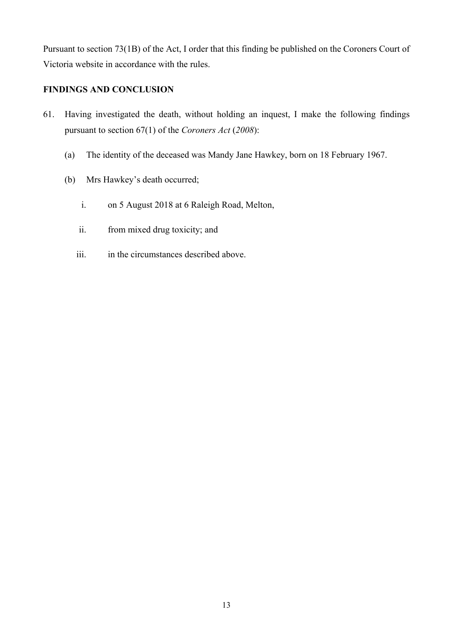Pursuant to section 73(1B) of the Act, I order that this finding be published on the Coroners Court of Victoria website in accordance with the rules.

# **FINDINGS AND CONCLUSION**

- 61. Having investigated the death, without holding an inquest, I make the following findings pursuant to section 67(1) of the *Coroners Act* (*2008*):
	- (a) The identity of the deceased was Mandy Jane Hawkey, born on 18 February 1967.
	- (b) Mrs Hawkey's death occurred;
		- i. on 5 August 2018 at 6 Raleigh Road, Melton,
		- ii. from mixed drug toxicity; and
		- iii. in the circumstances described above.